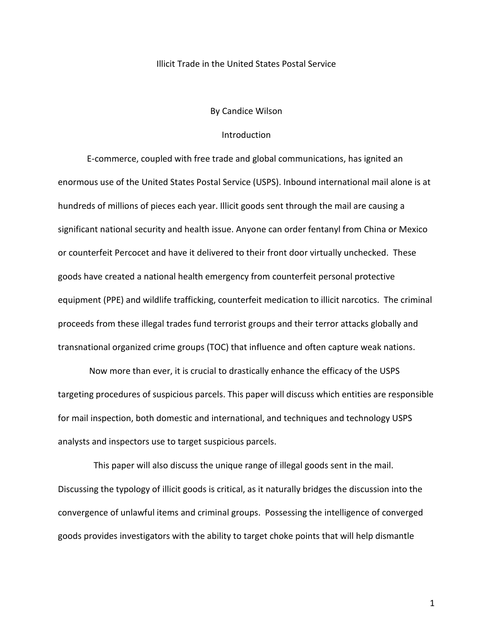## Illicit Trade in the United States Postal Service

## By Candice Wilson

# Introduction

E-commerce, coupled with free trade and global communications, has ignited an enormous use of the United States Postal Service (USPS). Inbound international mail alone is at hundreds of millions of pieces each year. Illicit goods sent through the mail are causing a significant national security and health issue. Anyone can order fentanyl from China or Mexico or counterfeit Percocet and have it delivered to their front door virtually unchecked. These goods have created a national health emergency from counterfeit personal protective equipment (PPE) and wildlife trafficking, counterfeit medication to illicit narcotics. The criminal proceeds from these illegal trades fund terrorist groups and their terror attacks globally and transnational organized crime groups (TOC) that influence and often capture weak nations.

 Now more than ever, it is crucial to drastically enhance the efficacy of the USPS targeting procedures of suspicious parcels. This paper will discuss which entities are responsible for mail inspection, both domestic and international, and techniques and technology USPS analysts and inspectors use to target suspicious parcels.

 This paper will also discuss the unique range of illegal goods sent in the mail. Discussing the typology of illicit goods is critical, as it naturally bridges the discussion into the convergence of unlawful items and criminal groups. Possessing the intelligence of converged goods provides investigators with the ability to target choke points that will help dismantle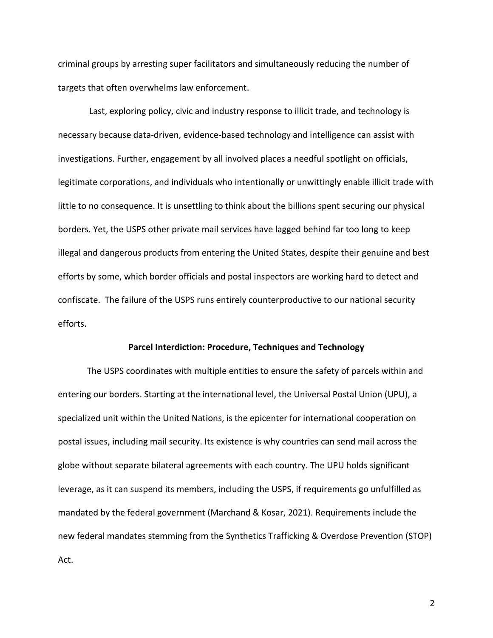criminal groups by arresting super facilitators and simultaneously reducing the number of targets that often overwhelms law enforcement.

Last, exploring policy, civic and industry response to illicit trade, and technology is necessary because data-driven, evidence-based technology and intelligence can assist with investigations. Further, engagement by all involved places a needful spotlight on officials, legitimate corporations, and individuals who intentionally or unwittingly enable illicit trade with little to no consequence. It is unsettling to think about the billions spent securing our physical borders. Yet, the USPS other private mail services have lagged behind far too long to keep illegal and dangerous products from entering the United States, despite their genuine and best efforts by some, which border officials and postal inspectors are working hard to detect and confiscate. The failure of the USPS runs entirely counterproductive to our national security efforts.

### **Parcel Interdiction: Procedure, Techniques and Technology**

The USPS coordinates with multiple entities to ensure the safety of parcels within and entering our borders. Starting at the international level, the Universal Postal Union (UPU), a specialized unit within the United Nations, is the epicenter for international cooperation on postal issues, including mail security. Its existence is why countries can send mail across the globe without separate bilateral agreements with each country. The UPU holds significant leverage, as it can suspend its members, including the USPS, if requirements go unfulfilled as mandated by the federal government (Marchand & Kosar, 2021). Requirements include the new federal mandates stemming from the Synthetics Trafficking & Overdose Prevention (STOP) Act.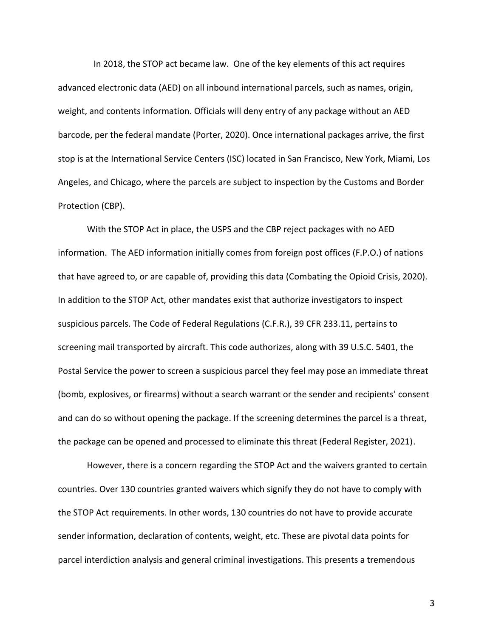In 2018, the STOP act became law. One of the key elements of this act requires advanced electronic data (AED) on all inbound international parcels, such as names, origin, weight, and contents information. Officials will deny entry of any package without an AED barcode, per the federal mandate (Porter, 2020). Once international packages arrive, the first stop is at the International Service Centers (ISC) located in San Francisco, New York, Miami, Los Angeles, and Chicago, where the parcels are subject to inspection by the Customs and Border Protection (CBP).

With the STOP Act in place, the USPS and the CBP reject packages with no AED information. The AED information initially comes from foreign post offices (F.P.O.) of nations that have agreed to, or are capable of, providing this data (Combating the Opioid Crisis, 2020). In addition to the STOP Act, other mandates exist that authorize investigators to inspect suspicious parcels. The Code of Federal Regulations (C.F.R.), 39 CFR 233.11, pertains to screening mail transported by aircraft. This code authorizes, along with 39 U.S.C. 5401, the Postal Service the power to screen a suspicious parcel they feel may pose an immediate threat (bomb, explosives, or firearms) without a search warrant or the sender and recipients' consent and can do so without opening the package. If the screening determines the parcel is a threat, the package can be opened and processed to eliminate this threat (Federal Register, 2021).

However, there is a concern regarding the STOP Act and the waivers granted to certain countries. Over 130 countries granted waivers which signify they do not have to comply with the STOP Act requirements. In other words, 130 countries do not have to provide accurate sender information, declaration of contents, weight, etc. These are pivotal data points for parcel interdiction analysis and general criminal investigations. This presents a tremendous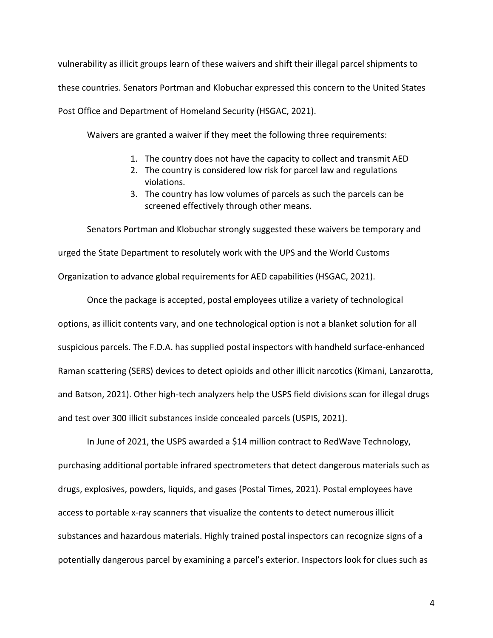vulnerability as illicit groups learn of these waivers and shift their illegal parcel shipments to these countries. Senators Portman and Klobuchar expressed this concern to the United States Post Office and Department of Homeland Security (HSGAC, 2021).

Waivers are granted a waiver if they meet the following three requirements:

- 1. The country does not have the capacity to collect and transmit AED
- 2. The country is considered low risk for parcel law and regulations violations.
- 3. The country has low volumes of parcels as such the parcels can be screened effectively through other means.

Senators Portman and Klobuchar strongly suggested these waivers be temporary and urged the State Department to resolutely work with the UPS and the World Customs Organization to advance global requirements for AED capabilities (HSGAC, 2021).

Once the package is accepted, postal employees utilize a variety of technological options, as illicit contents vary, and one technological option is not a blanket solution for all suspicious parcels. The F.D.A. has supplied postal inspectors with handheld surface-enhanced Raman scattering (SERS) devices to detect opioids and other illicit narcotics (Kimani, Lanzarotta, and Batson, 2021). Other high-tech analyzers help the USPS field divisions scan for illegal drugs and test over 300 illicit substances inside concealed parcels (USPIS, 2021).

In June of 2021, the USPS awarded a \$14 million contract to RedWave Technology, purchasing additional portable infrared spectrometers that detect dangerous materials such as drugs, explosives, powders, liquids, and gases (Postal Times, 2021). Postal employees have access to portable x-ray scanners that visualize the contents to detect numerous illicit substances and hazardous materials. Highly trained postal inspectors can recognize signs of a potentially dangerous parcel by examining a parcel's exterior. Inspectors look for clues such as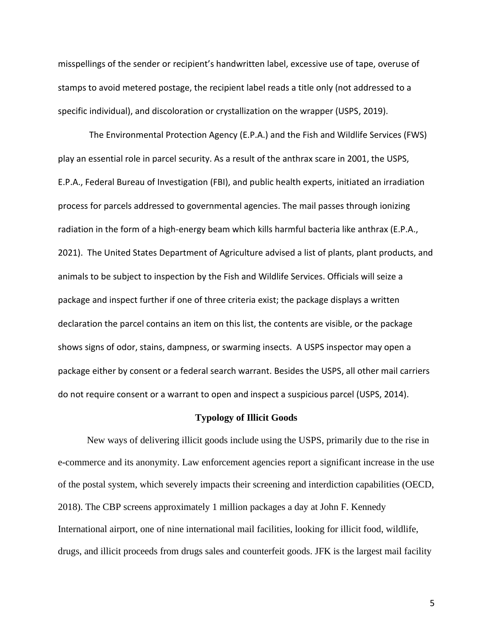misspellings of the sender or recipient's handwritten label, excessive use of tape, overuse of stamps to avoid metered postage, the recipient label reads a title only (not addressed to a specific individual), and discoloration or crystallization on the wrapper (USPS, 2019).

 The Environmental Protection Agency (E.P.A.) and the Fish and Wildlife Services (FWS) play an essential role in parcel security. As a result of the anthrax scare in 2001, the USPS, E.P.A., Federal Bureau of Investigation (FBI), and public health experts, initiated an irradiation process for parcels addressed to governmental agencies. The mail passes through ionizing radiation in the form of a high-energy beam which kills harmful bacteria like anthrax (E.P.A., 2021). The United States Department of Agriculture advised a list of plants, plant products, and animals to be subject to inspection by the Fish and Wildlife Services. Officials will seize a package and inspect further if one of three criteria exist; the package displays a written declaration the parcel contains an item on this list, the contents are visible, or the package shows signs of odor, stains, dampness, or swarming insects. A USPS inspector may open a package either by consent or a federal search warrant. Besides the USPS, all other mail carriers do not require consent or a warrant to open and inspect a suspicious parcel (USPS, 2014).

# **Typology of Illicit Goods**

New ways of delivering illicit goods include using the USPS, primarily due to the rise in e-commerce and its anonymity. Law enforcement agencies report a significant increase in the use of the postal system, which severely impacts their screening and interdiction capabilities (OECD, 2018). The CBP screens approximately 1 million packages a day at John F. Kennedy International airport, one of nine international mail facilities, looking for illicit food, wildlife, drugs, and illicit proceeds from drugs sales and counterfeit goods. JFK is the largest mail facility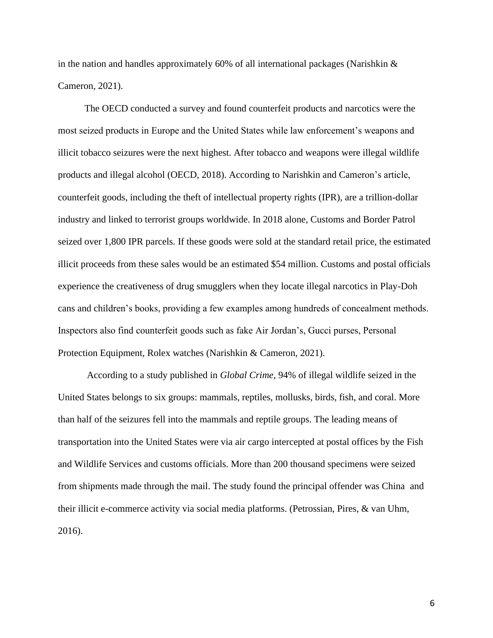in the nation and handles approximately 60% of all international packages (Narishkin  $\&$ Cameron, 2021).

The OECD conducted a survey and found counterfeit products and narcotics were the most seized products in Europe and the United States while law enforcement's weapons and illicit tobacco seizures were the next highest. After tobacco and weapons were illegal wildlife products and illegal alcohol (OECD, 2018). According to Narishkin and Cameron's article, counterfeit goods, including the theft of intellectual property rights (IPR), are a trillion-dollar industry and linked to terrorist groups worldwide. In 2018 alone, Customs and Border Patrol seized over 1,800 IPR parcels. If these goods were sold at the standard retail price, the estimated illicit proceeds from these sales would be an estimated \$54 million. Customs and postal officials experience the creativeness of drug smugglers when they locate illegal narcotics in Play-Doh cans and children's books, providing a few examples among hundreds of concealment methods. Inspectors also find counterfeit goods such as fake Air Jordan's, Gucci purses, Personal Protection Equipment, Rolex watches (Narishkin & Cameron, 2021).

According to a study published in *Global Crime*, 94% of illegal wildlife seized in the United States belongs to six groups: mammals, reptiles, mollusks, birds, fish, and coral. More than half of the seizures fell into the mammals and reptile groups. The leading means of transportation into the United States were via air cargo intercepted at postal offices by the Fish and Wildlife Services and customs officials. More than 200 thousand specimens were seized from shipments made through the mail. The study found the principal offender was China and their illicit e-commerce activity via social media platforms. (Petrossian, Pires, & van Uhm, 2016).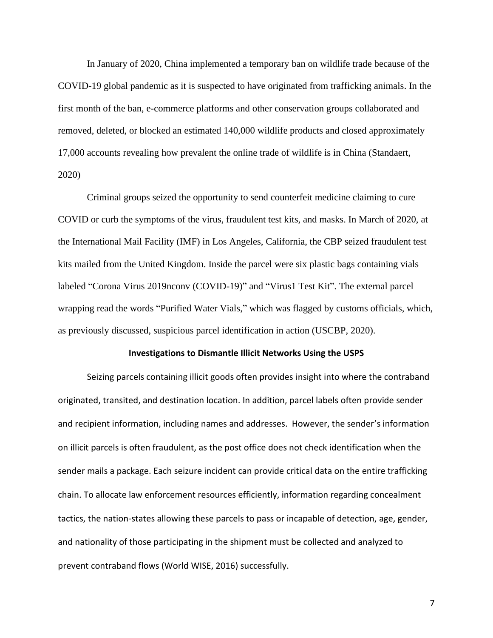In January of 2020, China implemented a temporary ban on wildlife trade because of the COVID-19 global pandemic as it is suspected to have originated from trafficking animals. In the first month of the ban, e-commerce platforms and other conservation groups collaborated and removed, deleted, or blocked an estimated 140,000 wildlife products and closed approximately 17,000 accounts revealing how prevalent the online trade of wildlife is in China (Standaert, 2020)

Criminal groups seized the opportunity to send counterfeit medicine claiming to cure COVID or curb the symptoms of the virus, fraudulent test kits, and masks. In March of 2020, at the International Mail Facility (IMF) in Los Angeles, California, the CBP seized fraudulent test kits mailed from the United Kingdom. Inside the parcel were six plastic bags containing vials labeled "Corona Virus 2019nconv (COVID-19)" and "Virus1 Test Kit". The external parcel wrapping read the words "Purified Water Vials," which was flagged by customs officials, which, as previously discussed, suspicious parcel identification in action (USCBP, 2020).

### **Investigations to Dismantle Illicit Networks Using the USPS**

Seizing parcels containing illicit goods often provides insight into where the contraband originated, transited, and destination location. In addition, parcel labels often provide sender and recipient information, including names and addresses. However, the sender's information on illicit parcels is often fraudulent, as the post office does not check identification when the sender mails a package. Each seizure incident can provide critical data on the entire trafficking chain. To allocate law enforcement resources efficiently, information regarding concealment tactics, the nation-states allowing these parcels to pass or incapable of detection, age, gender, and nationality of those participating in the shipment must be collected and analyzed to prevent contraband flows (World WISE, 2016) successfully.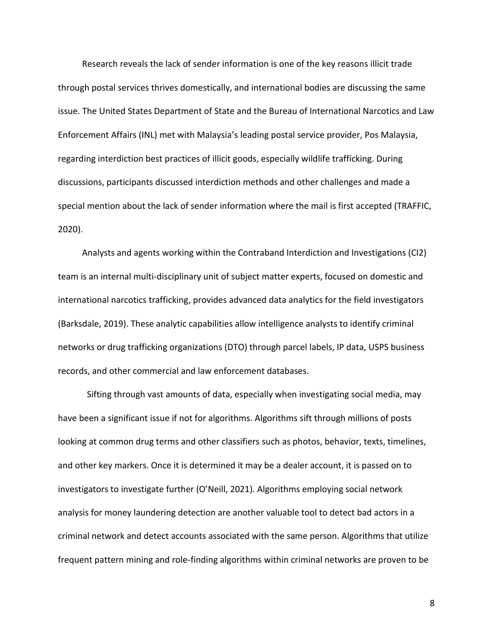Research reveals the lack of sender information is one of the key reasons illicit trade through postal services thrives domestically, and international bodies are discussing the same issue. The United States Department of State and the Bureau of International Narcotics and Law Enforcement Affairs (INL) met with Malaysia's leading postal service provider, Pos Malaysia, regarding interdiction best practices of illicit goods, especially wildlife trafficking. During discussions, participants discussed interdiction methods and other challenges and made a special mention about the lack of sender information where the mail is first accepted (TRAFFIC, 2020).

 Analysts and agents working within the Contraband Interdiction and Investigations (CI2) team is an internal multi-disciplinary unit of subject matter experts, focused on domestic and international narcotics trafficking, provides advanced data analytics for the field investigators (Barksdale, 2019). These analytic capabilities allow intelligence analysts to identify criminal networks or drug trafficking organizations (DTO) through parcel labels, IP data, USPS business records, and other commercial and law enforcement databases.

Sifting through vast amounts of data, especially when investigating social media, may have been a significant issue if not for algorithms. Algorithms sift through millions of posts looking at common drug terms and other classifiers such as photos, behavior, texts, timelines, and other key markers. Once it is determined it may be a dealer account, it is passed on to investigators to investigate further (O'Neill, 2021). Algorithms employing social network analysis for money laundering detection are another valuable tool to detect bad actors in a criminal network and detect accounts associated with the same person. Algorithms that utilize frequent pattern mining and role-finding algorithms within criminal networks are proven to be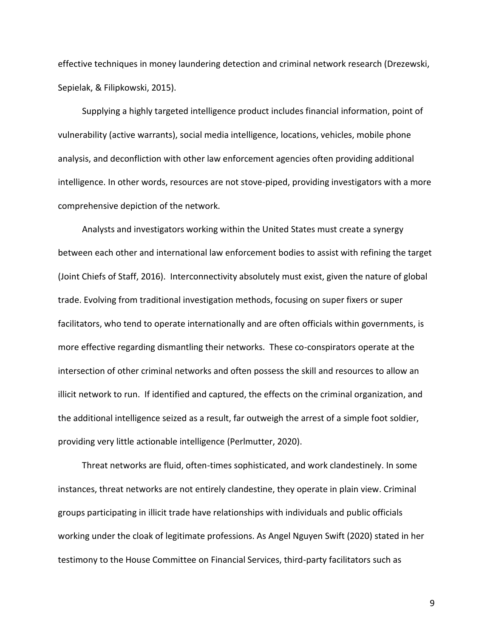effective techniques in money laundering detection and criminal network research (Drezewski, Sepielak, & Filipkowski, 2015).

 Supplying a highly targeted intelligence product includes financial information, point of vulnerability (active warrants), social media intelligence, locations, vehicles, mobile phone analysis, and deconfliction with other law enforcement agencies often providing additional intelligence. In other words, resources are not stove-piped, providing investigators with a more comprehensive depiction of the network.

 Analysts and investigators working within the United States must create a synergy between each other and international law enforcement bodies to assist with refining the target (Joint Chiefs of Staff, 2016). Interconnectivity absolutely must exist, given the nature of global trade. Evolving from traditional investigation methods, focusing on super fixers or super facilitators, who tend to operate internationally and are often officials within governments, is more effective regarding dismantling their networks. These co-conspirators operate at the intersection of other criminal networks and often possess the skill and resources to allow an illicit network to run. If identified and captured, the effects on the criminal organization, and the additional intelligence seized as a result, far outweigh the arrest of a simple foot soldier, providing very little actionable intelligence (Perlmutter, 2020).

 Threat networks are fluid, often-times sophisticated, and work clandestinely. In some instances, threat networks are not entirely clandestine, they operate in plain view. Criminal groups participating in illicit trade have relationships with individuals and public officials working under the cloak of legitimate professions. As Angel Nguyen Swift (2020) stated in her testimony to the House Committee on Financial Services, third-party facilitators such as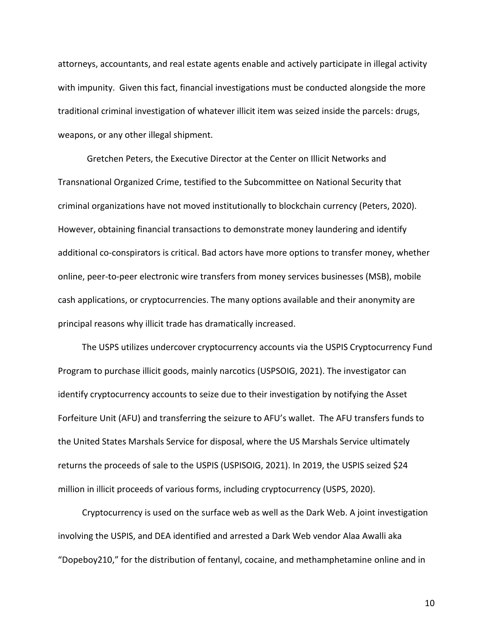attorneys, accountants, and real estate agents enable and actively participate in illegal activity with impunity. Given this fact, financial investigations must be conducted alongside the more traditional criminal investigation of whatever illicit item was seized inside the parcels: drugs, weapons, or any other illegal shipment.

Gretchen Peters, the Executive Director at the Center on Illicit Networks and Transnational Organized Crime, testified to the Subcommittee on National Security that criminal organizations have not moved institutionally to blockchain currency (Peters, 2020). However, obtaining financial transactions to demonstrate money laundering and identify additional co-conspirators is critical. Bad actors have more options to transfer money, whether online, peer-to-peer electronic wire transfers from money services businesses (MSB), mobile cash applications, or cryptocurrencies. The many options available and their anonymity are principal reasons why illicit trade has dramatically increased.

 The USPS utilizes undercover cryptocurrency accounts via the USPIS Cryptocurrency Fund Program to purchase illicit goods, mainly narcotics (USPSOIG, 2021). The investigator can identify cryptocurrency accounts to seize due to their investigation by notifying the Asset Forfeiture Unit (AFU) and transferring the seizure to AFU's wallet. The AFU transfers funds to the United States Marshals Service for disposal, where the US Marshals Service ultimately returns the proceeds of sale to the USPIS (USPISOIG, 2021). In 2019, the USPIS seized \$24 million in illicit proceeds of various forms, including cryptocurrency (USPS, 2020).

 Cryptocurrency is used on the surface web as well as the Dark Web. A joint investigation involving the USPIS, and DEA identified and arrested a Dark Web vendor Alaa Awalli aka "Dopeboy210," for the distribution of fentanyl, cocaine, and methamphetamine online and in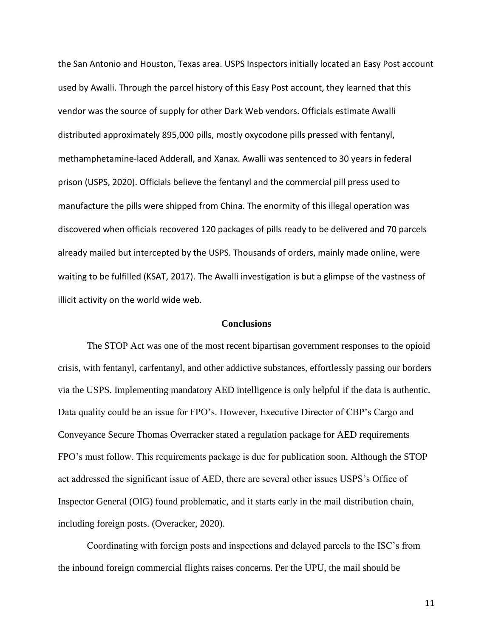the San Antonio and Houston, Texas area. USPS Inspectors initially located an Easy Post account used by Awalli. Through the parcel history of this Easy Post account, they learned that this vendor was the source of supply for other Dark Web vendors. Officials estimate Awalli distributed approximately 895,000 pills, mostly oxycodone pills pressed with fentanyl, methamphetamine-laced Adderall, and Xanax. Awalli was sentenced to 30 years in federal prison (USPS, 2020). Officials believe the fentanyl and the commercial pill press used to manufacture the pills were shipped from China. The enormity of this illegal operation was discovered when officials recovered 120 packages of pills ready to be delivered and 70 parcels already mailed but intercepted by the USPS. Thousands of orders, mainly made online, were waiting to be fulfilled (KSAT, 2017). The Awalli investigation is but a glimpse of the vastness of illicit activity on the world wide web.

# **Conclusions**

The STOP Act was one of the most recent bipartisan government responses to the opioid crisis, with fentanyl, carfentanyl, and other addictive substances, effortlessly passing our borders via the USPS. Implementing mandatory AED intelligence is only helpful if the data is authentic. Data quality could be an issue for FPO's. However, Executive Director of CBP's Cargo and Conveyance Secure Thomas Overracker stated a regulation package for AED requirements FPO's must follow. This requirements package is due for publication soon. Although the STOP act addressed the significant issue of AED, there are several other issues USPS's Office of Inspector General (OIG) found problematic, and it starts early in the mail distribution chain, including foreign posts. (Overacker, 2020).

Coordinating with foreign posts and inspections and delayed parcels to the ISC's from the inbound foreign commercial flights raises concerns. Per the UPU, the mail should be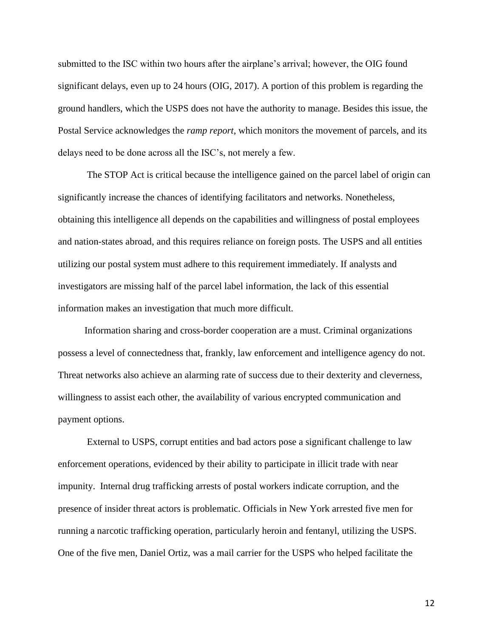submitted to the ISC within two hours after the airplane's arrival; however, the OIG found significant delays, even up to 24 hours (OIG, 2017). A portion of this problem is regarding the ground handlers, which the USPS does not have the authority to manage. Besides this issue, the Postal Service acknowledges the *ramp report*, which monitors the movement of parcels, and its delays need to be done across all the ISC's, not merely a few.

The STOP Act is critical because the intelligence gained on the parcel label of origin can significantly increase the chances of identifying facilitators and networks. Nonetheless, obtaining this intelligence all depends on the capabilities and willingness of postal employees and nation-states abroad, and this requires reliance on foreign posts. The USPS and all entities utilizing our postal system must adhere to this requirement immediately. If analysts and investigators are missing half of the parcel label information, the lack of this essential information makes an investigation that much more difficult.

Information sharing and cross-border cooperation are a must. Criminal organizations possess a level of connectedness that, frankly, law enforcement and intelligence agency do not. Threat networks also achieve an alarming rate of success due to their dexterity and cleverness, willingness to assist each other, the availability of various encrypted communication and payment options.

External to USPS, corrupt entities and bad actors pose a significant challenge to law enforcement operations, evidenced by their ability to participate in illicit trade with near impunity. Internal drug trafficking arrests of postal workers indicate corruption, and the presence of insider threat actors is problematic. Officials in New York arrested five men for running a narcotic trafficking operation, particularly heroin and fentanyl, utilizing the USPS. One of the five men, Daniel Ortiz, was a mail carrier for the USPS who helped facilitate the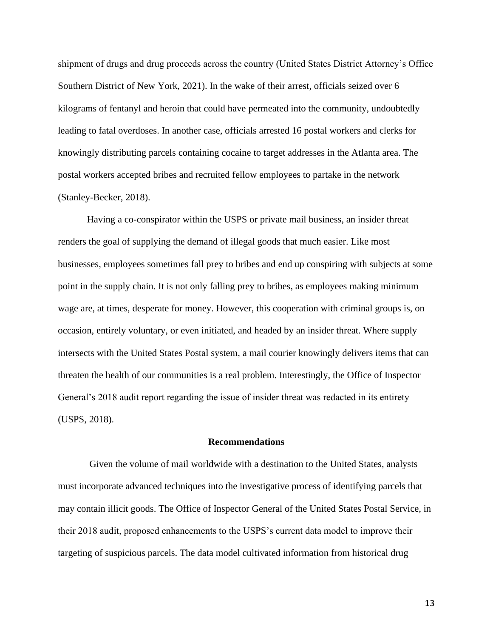shipment of drugs and drug proceeds across the country (United States District Attorney's Office Southern District of New York, 2021). In the wake of their arrest, officials seized over 6 kilograms of fentanyl and heroin that could have permeated into the community, undoubtedly leading to fatal overdoses. In another case, officials arrested 16 postal workers and clerks for knowingly distributing parcels containing cocaine to target addresses in the Atlanta area. The postal workers accepted bribes and recruited fellow employees to partake in the network (Stanley-Becker, 2018).

Having a co-conspirator within the USPS or private mail business, an insider threat renders the goal of supplying the demand of illegal goods that much easier. Like most businesses, employees sometimes fall prey to bribes and end up conspiring with subjects at some point in the supply chain. It is not only falling prey to bribes, as employees making minimum wage are, at times, desperate for money. However, this cooperation with criminal groups is, on occasion, entirely voluntary, or even initiated, and headed by an insider threat. Where supply intersects with the United States Postal system, a mail courier knowingly delivers items that can threaten the health of our communities is a real problem. Interestingly, the Office of Inspector General's 2018 audit report regarding the issue of insider threat was redacted in its entirety (USPS, 2018).

### **Recommendations**

Given the volume of mail worldwide with a destination to the United States, analysts must incorporate advanced techniques into the investigative process of identifying parcels that may contain illicit goods. The Office of Inspector General of the United States Postal Service, in their 2018 audit, proposed enhancements to the USPS's current data model to improve their targeting of suspicious parcels. The data model cultivated information from historical drug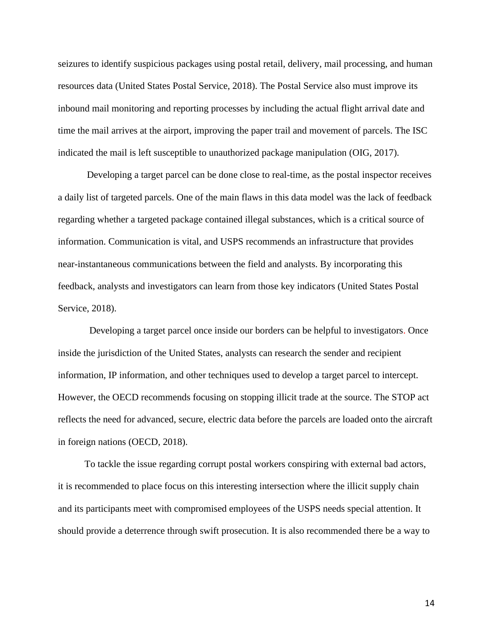seizures to identify suspicious packages using postal retail, delivery, mail processing, and human resources data (United States Postal Service, 2018). The Postal Service also must improve its inbound mail monitoring and reporting processes by including the actual flight arrival date and time the mail arrives at the airport, improving the paper trail and movement of parcels. The ISC indicated the mail is left susceptible to unauthorized package manipulation (OIG, 2017).

Developing a target parcel can be done close to real-time, as the postal inspector receives a daily list of targeted parcels. One of the main flaws in this data model was the lack of feedback regarding whether a targeted package contained illegal substances, which is a critical source of information. Communication is vital, and USPS recommends an infrastructure that provides near-instantaneous communications between the field and analysts. By incorporating this feedback, analysts and investigators can learn from those key indicators (United States Postal Service, 2018).

 Developing a target parcel once inside our borders can be helpful to investigators. Once inside the jurisdiction of the United States, analysts can research the sender and recipient information, IP information, and other techniques used to develop a target parcel to intercept. However, the OECD recommends focusing on stopping illicit trade at the source. The STOP act reflects the need for advanced, secure, electric data before the parcels are loaded onto the aircraft in foreign nations (OECD, 2018).

To tackle the issue regarding corrupt postal workers conspiring with external bad actors, it is recommended to place focus on this interesting intersection where the illicit supply chain and its participants meet with compromised employees of the USPS needs special attention. It should provide a deterrence through swift prosecution. It is also recommended there be a way to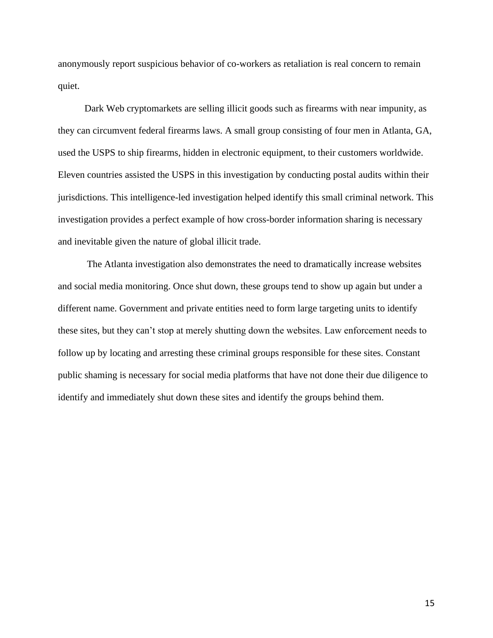anonymously report suspicious behavior of co-workers as retaliation is real concern to remain quiet.

Dark Web cryptomarkets are selling illicit goods such as firearms with near impunity, as they can circumvent federal firearms laws. A small group consisting of four men in Atlanta, GA, used the USPS to ship firearms, hidden in electronic equipment, to their customers worldwide. Eleven countries assisted the USPS in this investigation by conducting postal audits within their jurisdictions. This intelligence-led investigation helped identify this small criminal network. This investigation provides a perfect example of how cross-border information sharing is necessary and inevitable given the nature of global illicit trade.

The Atlanta investigation also demonstrates the need to dramatically increase websites and social media monitoring. Once shut down, these groups tend to show up again but under a different name. Government and private entities need to form large targeting units to identify these sites, but they can't stop at merely shutting down the websites. Law enforcement needs to follow up by locating and arresting these criminal groups responsible for these sites. Constant public shaming is necessary for social media platforms that have not done their due diligence to identify and immediately shut down these sites and identify the groups behind them.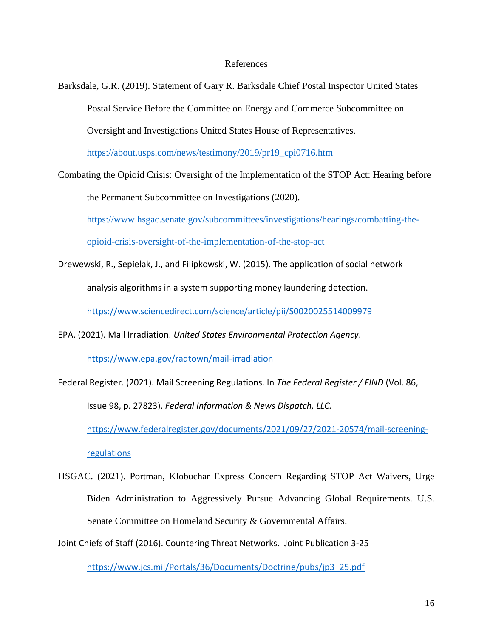## References

Barksdale, G.R. (2019). Statement of Gary R. Barksdale Chief Postal Inspector United States Postal Service Before the Committee on Energy and Commerce Subcommittee on Oversight and Investigations United States House of Representatives.

[https://about.usps.com/news/testimony/2019/pr19\\_cpi0716.htm](https://about.usps.com/news/testimony/2019/pr19_cpi0716.htm)

Combating the Opioid Crisis: Oversight of the Implementation of the STOP Act: Hearing before

the Permanent Subcommittee on Investigations (2020).

[https://www.hsgac.senate.gov/subcommittees/investigations/hearings/combatting-the-](https://www.hsgac.senate.gov/subcommittees/investigations/hearings/combatting-the-opioid-crisis-oversight-of-the-implementation-of-the-stop-act)

[opioid-crisis-oversight-of-the-implementation-of-the-stop-act](https://www.hsgac.senate.gov/subcommittees/investigations/hearings/combatting-the-opioid-crisis-oversight-of-the-implementation-of-the-stop-act)

Drewewski, R., Sepielak, J., and Filipkowski, W. (2015). The application of social network analysis algorithms in a system supporting money laundering detection.

<https://www.sciencedirect.com/science/article/pii/S0020025514009979>

EPA. (2021). Mail Irradiation. *United States Environmental Protection Agency*.

<https://www.epa.gov/radtown/mail-irradiation>

Federal Register. (2021). Mail Screening Regulations. In *The Federal Register / FIND* (Vol. 86, Issue 98, p. 27823). *Federal Information & News Dispatch, LLC.* [https://www.federalregister.gov/documents/2021/09/27/2021-20574/mail-screening](https://www.federalregister.gov/documents/2021/09/27/2021-20574/mail-screening-)[regulations](https://www.federalregister.gov/documents/2021/09/27/2021-20574/mail-screening-)

HSGAC. (2021). Portman, Klobuchar Express Concern Regarding STOP Act Waivers, Urge Biden Administration to Aggressively Pursue Advancing Global Requirements. U.S. Senate Committee on Homeland Security & Governmental Affairs.

Joint Chiefs of Staff (2016). Countering Threat Networks. Joint Publication 3-25

[https://www.jcs.mil/Portals/36/Documents/Doctrine/pubs/jp3\\_25.pdf](https://www.jcs.mil/Portals/36/Documents/Doctrine/pubs/jp3_25.pdf)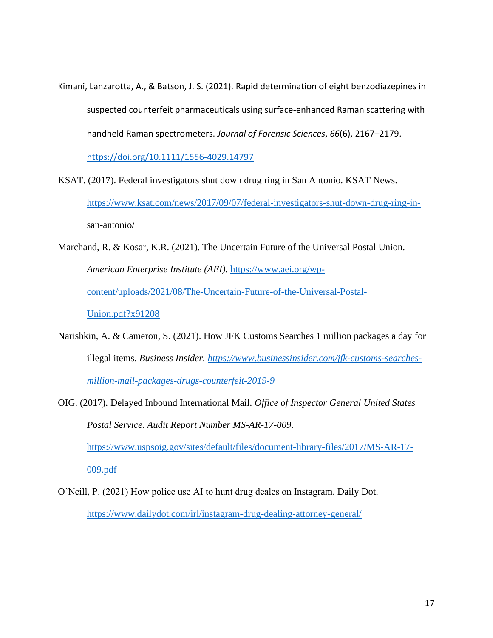Kimani, Lanzarotta, A., & Batson, J. S. (2021). Rapid determination of eight benzodiazepines in suspected counterfeit pharmaceuticals using surface‐enhanced Raman scattering with handheld Raman spectrometers. *Journal of Forensic Sciences*, *66*(6), 2167–2179.

<https://doi.org/10.1111/1556-4029.14797>

- KSAT. (2017). Federal investigators shut down drug ring in San Antonio. KSAT News. [https://www.ksat.com/news/2017/09/07/federal-investigators-shut-down-drug-ring-in](https://www.ksat.com/news/2017/09/07/federal-investigators-shut-down-drug-ring-in-)san-antonio/
- Marchand, R. & Kosar, K.R. (2021). The Uncertain Future of the Universal Postal Union. *American Enterprise Institute (AEI).* [https://www.aei.org/wp](https://www.aei.org/wp-content/uploads/2021/08/The-Uncertain-Future-of-the-Universal-Postal-Union.pdf?x91208)[content/uploads/2021/08/The-Uncertain-Future-of-the-Universal-Postal-](https://www.aei.org/wp-content/uploads/2021/08/The-Uncertain-Future-of-the-Universal-Postal-Union.pdf?x91208)[Union.pdf?x91208](https://www.aei.org/wp-content/uploads/2021/08/The-Uncertain-Future-of-the-Universal-Postal-Union.pdf?x91208)
- Narishkin, A. & Cameron, S. (2021). How JFK Customs Searches 1 million packages a day for illegal items. *Business Insider. [https://www.businessinsider.com/jfk-customs-searches](https://www.businessinsider.com/jfk-customs-searches-million-mail-packages-drugs-counterfeit-2019-9)[million-mail-packages-drugs-counterfeit-2019-9](https://www.businessinsider.com/jfk-customs-searches-million-mail-packages-drugs-counterfeit-2019-9)*
- OIG. (2017). Delayed Inbound International Mail. *Office of Inspector General United States Postal Service. Audit Report Number MS-AR-17-009.*  [https://www.uspsoig.gov/sites/default/files/document-library-files/2017/MS-AR-17-](https://www.uspsoig.gov/sites/default/files/document-library-files/2017/MS-AR-17-009.pdf) [009.pdf](https://www.uspsoig.gov/sites/default/files/document-library-files/2017/MS-AR-17-009.pdf)
- O'Neill, P. (2021) How police use AI to hunt drug deales on Instagram. Daily Dot. <https://www.dailydot.com/irl/instagram-drug-dealing-attorney-general/>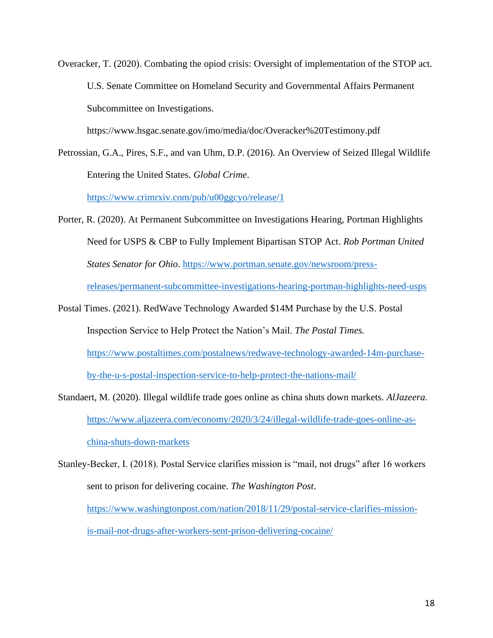Overacker, T. (2020). Combating the opiod crisis: Oversight of implementation of the STOP act. U.S. Senate Committee on Homeland Security and Governmental Affairs Permanent Subcommittee on Investigations.

https://www.hsgac.senate.gov/imo/media/doc/Overacker%20Testimony.pdf

Petrossian, G.A., Pires, S.F., and van Uhm, D.P. (2016). An Overview of Seized Illegal Wildlife Entering the United States. *Global Crime*.

<https://www.crimrxiv.com/pub/u00ggcyo/release/1>

- Porter, R. (2020). At Permanent Subcommittee on Investigations Hearing, Portman Highlights Need for USPS & CBP to Fully Implement Bipartisan STOP Act. *Rob Portman United States Senator for Ohio*. [https://www.portman.senate.gov/newsroom/press](https://www.portman.senate.gov/newsroom/press-releases/permanent-subcommittee-investigations-hearing-portman-highlights-need-usps)[releases/permanent-subcommittee-investigations-hearing-portman-highlights-need-usps](https://www.portman.senate.gov/newsroom/press-releases/permanent-subcommittee-investigations-hearing-portman-highlights-need-usps)
- Postal Times. (2021). RedWave Technology Awarded \$14M Purchase by the U.S. Postal Inspection Service to Help Protect the Nation's Mail. *The Postal Times.* [https://www.postaltimes.com/postalnews/redwave-technology-awarded-14m-purchase](https://www.postaltimes.com/postalnews/redwave-technology-awarded-14m-purchase-by-the-u-s-postal-inspection-service-to-help-protect-the-nations-mail/)[by-the-u-s-postal-inspection-service-to-help-protect-the-nations-mail/](https://www.postaltimes.com/postalnews/redwave-technology-awarded-14m-purchase-by-the-u-s-postal-inspection-service-to-help-protect-the-nations-mail/)
- Standaert, M. (2020). Illegal wildlife trade goes online as china shuts down markets. *AlJazeera.* [https://www.aljazeera.com/economy/2020/3/24/illegal-wildlife-trade-goes-online-as](https://www.aljazeera.com/economy/2020/3/24/illegal-wildlife-trade-goes-online-as-china-shuts-down-markets)[china-shuts-down-markets](https://www.aljazeera.com/economy/2020/3/24/illegal-wildlife-trade-goes-online-as-china-shuts-down-markets)
- Stanley-Becker, I. (2018). Postal Service clarifies mission is "mail, not drugs" after 16 workers sent to prison for delivering cocaine. *The Washington Post*. [https://www.washingtonpost.com/nation/2018/11/29/postal-service-clarifies-mission](https://www.washingtonpost.com/nation/2018/11/29/postal-service-clarifies-mission-is-mail-not-drugs-after-workers-sent-prison-delivering-cocaine/)[is-mail-not-drugs-after-workers-sent-prison-delivering-cocaine/](https://www.washingtonpost.com/nation/2018/11/29/postal-service-clarifies-mission-is-mail-not-drugs-after-workers-sent-prison-delivering-cocaine/)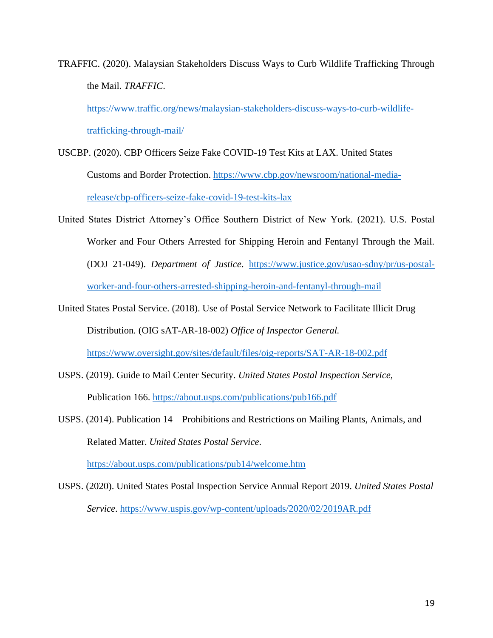TRAFFIC. (2020). Malaysian Stakeholders Discuss Ways to Curb Wildlife Trafficking Through the Mail. *TRAFFIC*.

[https://www.traffic.org/news/malaysian-stakeholders-discuss-ways-to-curb-wildlife](https://www.traffic.org/news/malaysian-stakeholders-discuss-ways-to-curb-wildlife-trafficking-through-mail/)[trafficking-through-mail/](https://www.traffic.org/news/malaysian-stakeholders-discuss-ways-to-curb-wildlife-trafficking-through-mail/)

- USCBP. (2020). CBP Officers Seize Fake COVID-19 Test Kits at LAX. United States Customs and Border Protection. [https://www.cbp.gov/newsroom/national-media](https://www.cbp.gov/newsroom/national-media-release/cbp-officers-seize-fake-covid-19-test-kits-lax)[release/cbp-officers-seize-fake-covid-19-test-kits-lax](https://www.cbp.gov/newsroom/national-media-release/cbp-officers-seize-fake-covid-19-test-kits-lax)
- United States District Attorney's Office Southern District of New York. (2021). U.S. Postal Worker and Four Others Arrested for Shipping Heroin and Fentanyl Through the Mail. (DOJ 21-049). *Department of Justice*. [https://www.justice.gov/usao-sdny/pr/us-postal](https://www.justice.gov/usao-sdny/pr/us-postal-%09worker-and-four-others-arrested-shipping-heroin-and-fentanyl-through-mail)[worker-and-four-others-arrested-shipping-heroin-and-fentanyl-through-mail](https://www.justice.gov/usao-sdny/pr/us-postal-%09worker-and-four-others-arrested-shipping-heroin-and-fentanyl-through-mail)
- United States Postal Service. (2018). Use of Postal Service Network to Facilitate Illicit Drug Distribution*.* (OIG sAT-AR-18-002) *Office of Inspector General.* <https://www.oversight.gov/sites/default/files/oig-reports/SAT-AR-18-002.pdf>
- USPS. (2019). Guide to Mail Center Security. *United States Postal Inspection Service,* Publication 166.<https://about.usps.com/publications/pub166.pdf>
- USPS. (2014). Publication 14 Prohibitions and Restrictions on Mailing Plants, Animals, and Related Matter. *United States Postal Service*.

<https://about.usps.com/publications/pub14/welcome.htm>

USPS. (2020). United States Postal Inspection Service Annual Report 2019. *United States Postal Service*.<https://www.uspis.gov/wp-content/uploads/2020/02/2019AR.pdf>